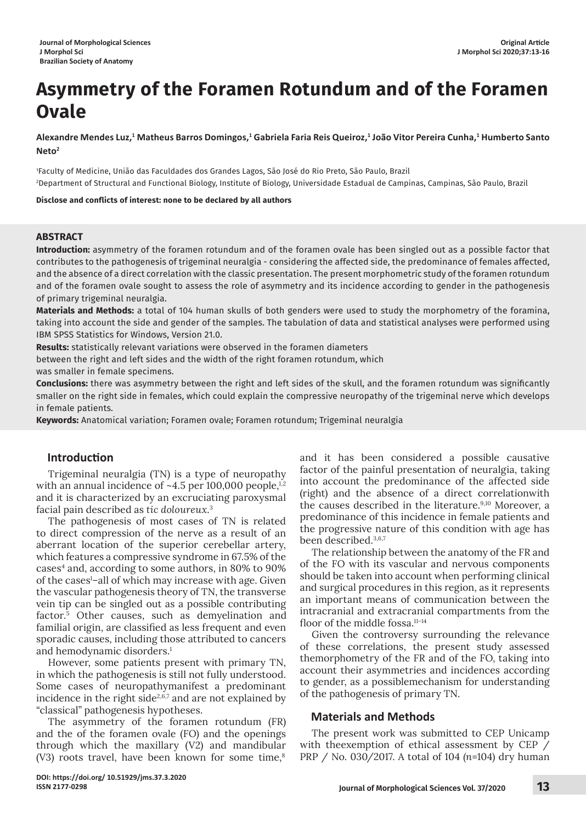# **Asymmetry of the Foramen Rotundum and of the Foramen Ovale**

Alexandre Mendes Luz,<sup>1</sup> Matheus Barros Domingos,<sup>1</sup> Gabriela Faria Reis Queiroz,<sup>1</sup> João Vitor Pereira Cunha,<sup>1</sup> Humberto Santo **Neto2**

1 Faculty of Medicine, União das Faculdades dos Grandes Lagos, São José do Rio Preto, São Paulo, Brazil 2 Department of Structural and Functional Biology, Institute of Biology, Universidade Estadual de Campinas, Campinas, São Paulo, Brazil

**Disclose and conflicts of interest: none to be declared by all authors**

### **ABSTRACT**

**Introduction:** asymmetry of the foramen rotundum and of the foramen ovale has been singled out as a possible factor that contributes to the pathogenesis of trigeminal neuralgia - considering the affected side, the predominance of females affected, and the absence of a direct correlation with the classic presentation. The present morphometric study of the foramen rotundum and of the foramen ovale sought to assess the role of asymmetry and its incidence according to gender in the pathogenesis of primary trigeminal neuralgia.

**Materials and Methods:** a total of 104 human skulls of both genders were used to study the morphometry of the foramina, taking into account the side and gender of the samples. The tabulation of data and statistical analyses were performed using IBM SPSS Statistics for Windows, Version 21.0.

**Results:** statistically relevant variations were observed in the foramen diameters

between the right and left sides and the width of the right foramen rotundum, which was smaller in female specimens.

**Conclusions:** there was asymmetry between the right and left sides of the skull, and the foramen rotundum was significantly smaller on the right side in females, which could explain the compressive neuropathy of the trigeminal nerve which develops in female patients.

**Keywords:** Anatomical variation; Foramen ovale; Foramen rotundum; Trigeminal neuralgia

### **Introduction**

Trigeminal neuralgia (TN) is a type of neuropathy with an annual incidence of  $~1.5$  per 100,000 people,<sup>1,2</sup> and it is characterized by an excruciating paroxysmal facial pain described as *tic doloureux*. 3

The pathogenesis of most cases of TN is related to direct compression of the nerve as a result of an aberrant location of the superior cerebellar artery, which features a compressive syndrome in 67.5% of the cases<sup>4</sup> and, according to some authors, in 80% to 90% of the cases<sup>1</sup>-all of which may increase with age. Given the vascular pathogenesis theory of TN, the transverse vein tip can be singled out as a possible contributing factor. 5 Other causes, such as demyelination and familial origin, are classified as less frequent and even sporadic causes, including those attributed to cancers and hemodynamic disorders.<sup>1</sup>

However, some patients present with primary TN, in which the pathogenesis is still not fully understood. Some cases of neuropathymanifest a predominant incidence in the right side $2,6,7$  and are not explained by "classical" pathogenesis hypotheses.

The asymmetry of the foramen rotundum (FR) and the of the foramen ovale (FO) and the openings through which the maxillary (V2) and mandibular (V3) roots travel, have been known for some time, ${}^{8}$  and it has been considered a possible causative factor of the painful presentation of neuralgia, taking into account the predominance of the affected side (right) and the absence of a direct correlationwith the causes described in the literature.<sup>9,10</sup> Moreover, a predominance of this incidence in female patients and the progressive nature of this condition with age has been described.3,6,7

The relationship between the anatomy of the FR and of the FO with its vascular and nervous components should be taken into account when performing clinical and surgical procedures in this region, as it represents an important means of communication between the intracranial and extracranial compartments from the floor of the middle fossa.<sup>11-14</sup>

Given the controversy surrounding the relevance of these correlations, the present study assessed themorphometry of the FR and of the FO, taking into account their asymmetries and incidences according to gender, as a possiblemechanism for understanding of the pathogenesis of primary TN.

# **Materials and Methods**

The present work was submitted to CEP Unicamp with theexemption of ethical assessment by CEP / PRP / No. 030/2017. A total of 104 *(n*=104) dry human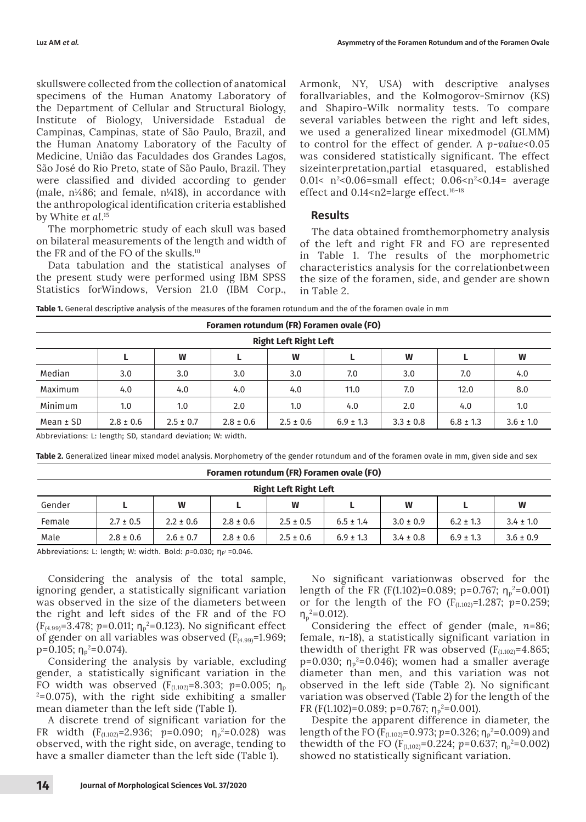skullswere collected from the collection of anatomical specimens of the Human Anatomy Laboratory of the Department of Cellular and Structural Biology, Institute of Biology, Universidade Estadual de Campinas, Campinas, state of São Paulo, Brazil, and the Human Anatomy Laboratory of the Faculty of Medicine, União das Faculdades dos Grandes Lagos, São José do Rio Preto, state of São Paulo, Brazil. They were classified and divided according to gender (male,  $n\frac{1}{486}$ ; and female,  $n\frac{1}{48}$ ), in accordance with the anthropological identification criteria established by White *et al*. 15

The morphometric study of each skull was based on bilateral measurements of the length and width of the FR and of the FO of the skulls.10

Data tabulation and the statistical analyses of the present study were performed using IBM SPSS Statistics forWindows, Version 21.0 (IBM Corp., Armonk, NY, USA) with descriptive analyses forallvariables, and the Kolmogorov-Smirnov (KS) and Shapiro-Wilk normality tests. To compare several variables between the right and left sides, we used a generalized linear mixedmodel (GLMM) to control for the effect of gender. A *p-value*<0.05 was considered statistically significant. The effect sizeinterpretation,partial etasquared, established 0.01<  $n^2$ <0.06=small effect; 0.06< $n^2$ <0.14= average effect and 0.14<n2=large effect.<sup>16-18</sup>

### **Results**

The data obtained fromthemorphometry analysis of the left and right FR and FO are represented in Table 1. The results of the morphometric characteristics analysis for the correlationbetween the size of the foramen, side, and gender are shown in Table 2.

| <b>Right Left Right Left</b> |               |               |               |               |               |               |               |               |  |  |  |
|------------------------------|---------------|---------------|---------------|---------------|---------------|---------------|---------------|---------------|--|--|--|
|                              |               | W             |               | W             |               | W             |               | W             |  |  |  |
| Median                       | 3.0           | 3.0           | 3.0           | 3.0           | 7.0           | 3.0           | 7.0           | 4.0           |  |  |  |
| Maximum                      | 4.0           | 4.0           | 4.0           | 4.0           | 11.0          | 7.0           | 12.0          | 8.0           |  |  |  |
| Minimum                      | 1.0           | 1.0           | 2.0           | 1.0           | 4.0           | 2.0           | 4.0           | 1.0           |  |  |  |
| Mean $±$ SD                  | $2.8 \pm 0.6$ | $2.5 \pm 0.7$ | $2.8 \pm 0.6$ | $2.5 \pm 0.6$ | $6.9 \pm 1.3$ | $3.3 \pm 0.8$ | $6.8 \pm 1.3$ | $3.6 \pm 1.0$ |  |  |  |

Abbreviations: L: length; SD, standard deviation; W: width.

**Table 2.** Generalized linear mixed model analysis. Morphometry of the gender rotundum and of the foramen ovale in mm, given side and sex

| Foramen rotundum (FR) Foramen ovale (FO) |               |               |               |               |               |               |               |               |  |  |  |  |
|------------------------------------------|---------------|---------------|---------------|---------------|---------------|---------------|---------------|---------------|--|--|--|--|
| <b>Right Left Right Left</b>             |               |               |               |               |               |               |               |               |  |  |  |  |
| Gender                                   |               | W             |               | W             |               | W             |               | W             |  |  |  |  |
| Female                                   | $2.7 \pm 0.5$ | $2.2 \pm 0.6$ | $2.8 \pm 0.6$ | $2.5 \pm 0.5$ | $6.5 \pm 1.4$ | $3.0 \pm 0.9$ | $6.2 \pm 1.3$ | $3.4 \pm 1.0$ |  |  |  |  |
| Male                                     | $2.8 \pm 0.6$ | $2.6 \pm 0.7$ | $2.8 \pm 0.6$ | $2.5 \pm 0.6$ | $6.9 \pm 1.3$ | $3.4 \pm 0.8$ | $6.9 \pm 1.3$ | $3.6 \pm 0.9$ |  |  |  |  |

Abbreviations: L: length; W: width. Bold: *p*=0.030; η<sub>p2</sub>=0.046.

Considering the analysis of the total sample, ignoring gender, a statistically significant variation was observed in the size of the diameters between the right and left sides of the FR and of the FO (F<sub>(4.99)</sub>=3.478; p=0.011; η<sub>p</sub><sup>2</sup>=0.123). No significant effect of gender on all variables was observed  $(F_{(4,99)}=1.969;$  $p=0.105; \,η_p^2=0.074$ ).

Considering the analysis by variable, excluding gender, a statistically significant variation in the FO width was observed  $(F_{(1.102)}=8.303; p=0.005; \eta_p)$ 2 =0.075), with the right side exhibiting a smaller mean diameter than the left side (Table 1).

A discrete trend of significant variation for the FR width  $(F_{(1.102)}=2.936; p=0.090; \eta_p^2=0.028)$  was observed, with the right side, on average, tending to have a smaller diameter than the left side (Table 1).

No significant variationwas observed for the length of the FR (F(1.102)=0.089; p=0.767;  $\eta_{\rm p}^2$ =0.001) or for the length of the FO ( $F_{(1.102)}$ =1.287; *p*=0.259;  $η<sub>p</sub><sup>2</sup>=0.012$ ).

Considering the effect of gender (male, *n*=86; female, *n*-18), a statistically significant variation in thewidth of theright FR was observed  $(F<sub>(1.102)</sub>=4.865;$ p=0.030;  $\eta_{p}^2$ =0.046); women had a smaller average diameter than men, and this variation was not observed in the left side (Table 2). No significant variation was observed (Table 2) for the length of the FR (F(1.102)=0.089; p=0.767;  $\eta_{\rm p}^2$ =0.001).

Despite the apparent difference in diameter, the length of the FO (F<sub>(1.102)</sub>=0.973; *p*=0.326; η<sub>p</sub><sup>2</sup>=0.009) and thewidth of the FO  $(F_{(1,102)}=0.224; p=0.637; \eta_p^2=0.002)$ showed no statistically significant variation.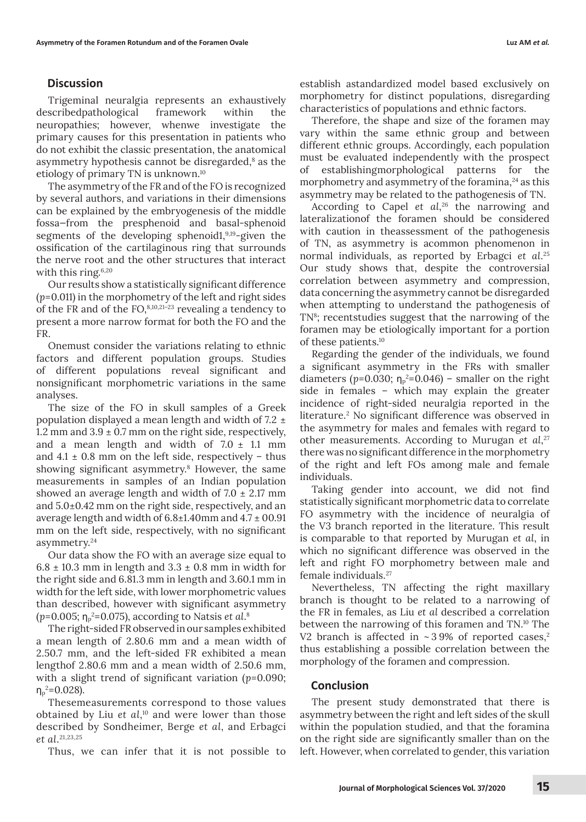# **Discussion**

Trigeminal neuralgia represents an exhaustively describedpathological framework within the neuropathies; however, whenwe investigate the primary causes for this presentation in patients who do not exhibit the classic presentation, the anatomical asymmetry hypothesis cannot be disregarded, $^{\rm 8}$  as the etiology of primary TN is unknown.10

The asymmetry of the FR and of the FO is recognized by several authors, and variations in their dimensions can be explained by the embryogenesis of the middle fossa—from the presphenoid and basal-sphenoid segments of the developing sphenoid1,<sup>9,19</sup>-given the ossification of the cartilaginous ring that surrounds the nerve root and the other structures that interact with this ring. $6,20$ 

Our results show a statistically significant difference (*p*=0.011) in the morphometry of the left and right sides of the FR and of the FO,  $8,10,21-23$  revealing a tendency to present a more narrow format for both the FO and the FR.

Onemust consider the variations relating to ethnic factors and different population groups. Studies of different populations reveal significant and nonsignificant morphometric variations in the same analyses.

The size of the FO in skull samples of a Greek population displayed a mean length and width of 7.2 ± 1.2 mm and  $3.9 \pm 0.7$  mm on the right side, respectively, and a mean length and width of  $7.0 \pm 1.1$  mm and  $4.1 \pm 0.8$  mm on the left side, respectively – thus showing significant asymmetry.<sup>8</sup> However, the same measurements in samples of an Indian population showed an average length and width of  $7.0 \pm 2.17$  mm and 5.0±0.42 mm on the right side, respectively, and an average length and width of  $6.8\pm1.40$ mm and  $4.7\pm00.91$ mm on the left side, respectively, with no significant asymmetry.24

Our data show the FO with an average size equal to  $6.8 \pm 10.3$  mm in length and  $3.3 \pm 0.8$  mm in width for the right side and 6.81.3 mm in length and 3.60.1 mm in width for the left side, with lower morphometric values than described, however with significant asymmetry (p=0.005; η<sub>p</sub>²=0.075), according to Natsis *et al*.8

The right-sided FR observed in our samples exhibited a mean length of 2.80.6 mm and a mean width of 2.50.7 mm, and the left-sided FR exhibited a mean lengthof 2.80.6 mm and a mean width of 2.50.6 mm, with a slight trend of significant variation (*p*=0.090; η $_{\rm p}^2$ =0.028).

Thesemeasurements correspond to those values obtained by Liu *et al*, 10 and were lower than those described by Sondheimer, Berge *et al*, and Erbagci *et al*. 21,23,25

Thus, we can infer that it is not possible to

establish astandardized model based exclusively on morphometry for distinct populations, disregarding characteristics of populations and ethnic factors.

Therefore, the shape and size of the foramen may vary within the same ethnic group and between different ethnic groups. Accordingly, each population must be evaluated independently with the prospect of establishingmorphological patterns for the morphometry and asymmetry of the foramina, $^{24}$  as this asymmetry may be related to the pathogenesis of TN.

According to Capel *et al*, 26 the narrowing and lateralizationof the foramen should be considered with caution in theassessment of the pathogenesis of TN, as asymmetry is acommon phenomenon in normal individuals, as reported by Erbagci *et al*. 25 Our study shows that, despite the controversial correlation between asymmetry and compression, data concerning the asymmetry cannot be disregarded when attempting to understand the pathogenesis of TN<sup>8</sup>; recentstudies suggest that the narrowing of the foramen may be etiologically important for a portion of these patients.10

Regarding the gender of the individuals, we found a significant asymmetry in the FRs with smaller diameters ( $p=0.030$ ;  $\eta_p^2=0.046$ ) – smaller on the right side in females – which may explain the greater incidence of right-sided neuralgia reported in the literature.2 No significant difference was observed in the asymmetry for males and females with regard to other measurements. According to Murugan *et al*, 27 there was no significant difference in the morphometry of the right and left FOs among male and female individuals.

Taking gender into account, we did not find statistically significant morphometric data to correlate FO asymmetry with the incidence of neuralgia of the V3 branch reported in the literature. This result is comparable to that reported by Murugan *et al*, in which no significant difference was observed in the left and right FO morphometry between male and female individuals.27

Nevertheless, TN affecting the right maxillary branch is thought to be related to a narrowing of the FR in females, as Liu *et al* described a correlation between the narrowing of this foramen and TN.10 The V2 branch is affected in  $\sim$  39% of reported cases,<sup>2</sup> thus establishing a possible correlation between the morphology of the foramen and compression.

# **Conclusion**

The present study demonstrated that there is asymmetry between the right and left sides of the skull within the population studied, and that the foramina on the right side are significantly smaller than on the left. However, when correlated to gender, this variation